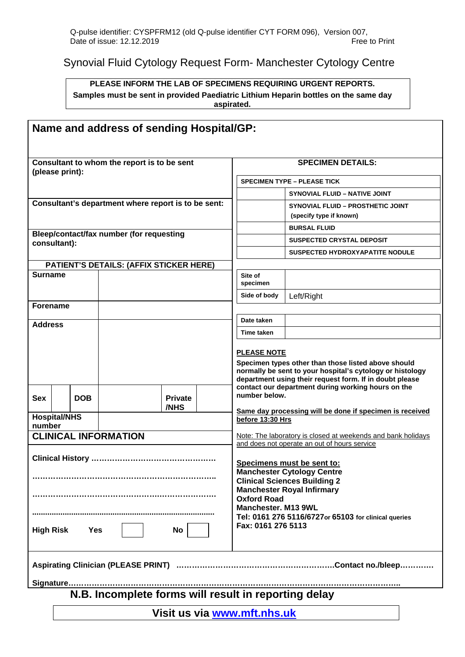Synovial Fluid Cytology Request Form- Manchester Cytology Centre

## **PLEASE INFORM THE LAB OF SPECIMENS REQUIRING URGENT REPORTS. Samples must be sent in provided Paediatric Lithium Heparin bottles on the same day aspirated.**

| Name and address of sending Hospital/GP:             |  |            |                                                |                        |  |                                                                                                                                                                                                                                                                        |                                                                                                                                                                                                                                   |  |
|------------------------------------------------------|--|------------|------------------------------------------------|------------------------|--|------------------------------------------------------------------------------------------------------------------------------------------------------------------------------------------------------------------------------------------------------------------------|-----------------------------------------------------------------------------------------------------------------------------------------------------------------------------------------------------------------------------------|--|
| Consultant to whom the report is to be sent          |  |            |                                                |                        |  | <b>SPECIMEN DETAILS:</b>                                                                                                                                                                                                                                               |                                                                                                                                                                                                                                   |  |
| (please print):                                      |  |            |                                                |                        |  | <b>SPECIMEN TYPE - PLEASE TICK</b>                                                                                                                                                                                                                                     |                                                                                                                                                                                                                                   |  |
|                                                      |  |            |                                                |                        |  |                                                                                                                                                                                                                                                                        | <b>SYNOVIAL FLUID - NATIVE JOINT</b>                                                                                                                                                                                              |  |
| Consultant's department where report is to be sent:  |  |            |                                                |                        |  |                                                                                                                                                                                                                                                                        | <b>SYNOVIAL FLUID - PROSTHETIC JOINT</b>                                                                                                                                                                                          |  |
|                                                      |  |            |                                                |                        |  |                                                                                                                                                                                                                                                                        | (specify type if known)                                                                                                                                                                                                           |  |
|                                                      |  |            | Bleep/contact/fax number (for requesting       |                        |  |                                                                                                                                                                                                                                                                        | <b>BURSAL FLUID</b>                                                                                                                                                                                                               |  |
| consultant):                                         |  |            |                                                |                        |  |                                                                                                                                                                                                                                                                        | <b>SUSPECTED CRYSTAL DEPOSIT</b>                                                                                                                                                                                                  |  |
|                                                      |  |            |                                                |                        |  |                                                                                                                                                                                                                                                                        | <b>SUSPECTED HYDROXYAPATITE NODULE</b>                                                                                                                                                                                            |  |
|                                                      |  |            | <b>PATIENT'S DETAILS: (AFFIX STICKER HERE)</b> |                        |  |                                                                                                                                                                                                                                                                        |                                                                                                                                                                                                                                   |  |
| <b>Surname</b>                                       |  |            |                                                |                        |  | Site of<br>specimen                                                                                                                                                                                                                                                    |                                                                                                                                                                                                                                   |  |
|                                                      |  |            |                                                |                        |  | Side of body                                                                                                                                                                                                                                                           | Left/Right                                                                                                                                                                                                                        |  |
| <b>Forename</b>                                      |  |            |                                                |                        |  |                                                                                                                                                                                                                                                                        |                                                                                                                                                                                                                                   |  |
| <b>Address</b>                                       |  |            |                                                |                        |  | Date taken                                                                                                                                                                                                                                                             |                                                                                                                                                                                                                                   |  |
|                                                      |  |            |                                                |                        |  | Time taken                                                                                                                                                                                                                                                             |                                                                                                                                                                                                                                   |  |
|                                                      |  |            |                                                |                        |  | <b>PLEASE NOTE</b>                                                                                                                                                                                                                                                     |                                                                                                                                                                                                                                   |  |
| <b>Sex</b>                                           |  | <b>DOB</b> |                                                | <b>Private</b><br>/NHS |  | number below.                                                                                                                                                                                                                                                          | Specimen types other than those listed above should<br>normally be sent to your hospital's cytology or histology<br>department using their request form. If in doubt please<br>contact our department during working hours on the |  |
| <b>Hospital/NHS</b>                                  |  |            |                                                |                        |  | before 13:30 Hrs                                                                                                                                                                                                                                                       | Same day processing will be done if specimen is received                                                                                                                                                                          |  |
| number<br><b>CLINICAL INFORMATION</b>                |  |            |                                                |                        |  |                                                                                                                                                                                                                                                                        | Note: The laboratory is closed at weekends and bank holidays<br>and does not operate an out of hours service                                                                                                                      |  |
| <b>High Risk</b><br><b>Yes</b><br><b>No</b>          |  |            |                                                |                        |  | Specimens must be sent to:<br><b>Manchester Cytology Centre</b><br><b>Clinical Sciences Building 2</b><br><b>Manchester Royal Infirmary</b><br><b>Oxford Road</b><br>Manchester. M13 9WL<br>Tel: 0161 276 5116/6727or 65103 for clinical queries<br>Fax: 0161 276 5113 |                                                                                                                                                                                                                                   |  |
|                                                      |  |            |                                                |                        |  |                                                                                                                                                                                                                                                                        |                                                                                                                                                                                                                                   |  |
| N.B. Incomplete forms will result in reporting delay |  |            |                                                |                        |  |                                                                                                                                                                                                                                                                        |                                                                                                                                                                                                                                   |  |
| Visit us via www.mft.nhs.uk                          |  |            |                                                |                        |  |                                                                                                                                                                                                                                                                        |                                                                                                                                                                                                                                   |  |
|                                                      |  |            |                                                |                        |  |                                                                                                                                                                                                                                                                        |                                                                                                                                                                                                                                   |  |